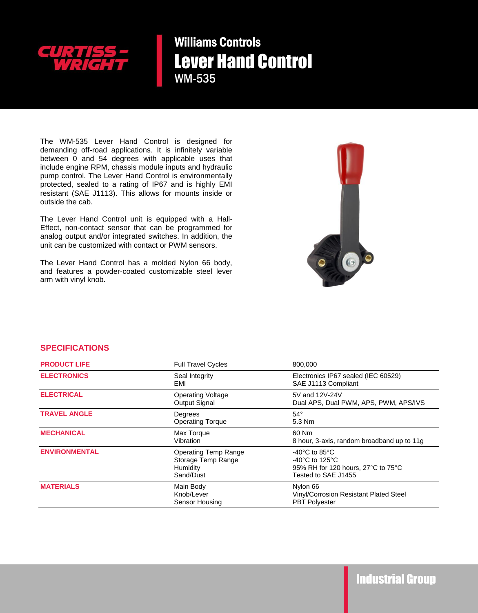

Williams Controls Lever Hand Control WM-535

The WM-535 Lever Hand Control is designed for demanding off-road applications. It is infinitely variable between 0 and 54 degrees with applicable uses that include engine RPM, chassis module inputs and hydraulic pump control. The Lever Hand Control is environmentally protected, sealed to a rating of IP67 and is highly EMI resistant (SAE J1113). This allows for mounts inside or outside the cab.

The Lever Hand Control unit is equipped with a Hall-Effect, non-contact sensor that can be programmed for analog output and/or integrated switches. In addition, the unit can be customized with contact or PWM sensors.

The Lever Hand Control has a molded Nylon 66 body, and features a powder-coated customizable steel lever arm with vinyl knob.



## **SPECIFICATIONS**

| <b>PRODUCT LIFE</b>  | <b>Full Travel Cycles</b>                                                  | 800,000                                                                                                                                 |
|----------------------|----------------------------------------------------------------------------|-----------------------------------------------------------------------------------------------------------------------------------------|
| <b>ELECTRONICS</b>   | Seal Integrity<br>EMI                                                      | Electronics IP67 sealed (IEC 60529)<br>SAE J1113 Compliant                                                                              |
| <b>ELECTRICAL</b>    | <b>Operating Voltage</b><br>Output Signal                                  | 5V and 12V-24V<br>Dual APS, Dual PWM, APS, PWM, APS/IVS                                                                                 |
| <b>TRAVEL ANGLE</b>  | Degrees<br><b>Operating Torque</b>                                         | $54^\circ$<br>5.3 Nm                                                                                                                    |
| <b>MECHANICAL</b>    | Max Torque<br>Vibration                                                    | 60 Nm<br>8 hour, 3-axis, random broadband up to 11g                                                                                     |
| <b>ENVIRONMENTAL</b> | <b>Operating Temp Range</b><br>Storage Temp Range<br>Humidity<br>Sand/Dust | $-40^{\circ}$ C to 85 $^{\circ}$ C<br>-40 $^{\circ}$ C to 125 $^{\circ}$ C<br>95% RH for 120 hours, 27°C to 75°C<br>Tested to SAE J1455 |
| <b>MATERIALS</b>     | Main Body<br>Knob/Lever<br>Sensor Housing                                  | Nylon 66<br>Vinyl/Corrosion Resistant Plated Steel<br><b>PBT Polyester</b>                                                              |